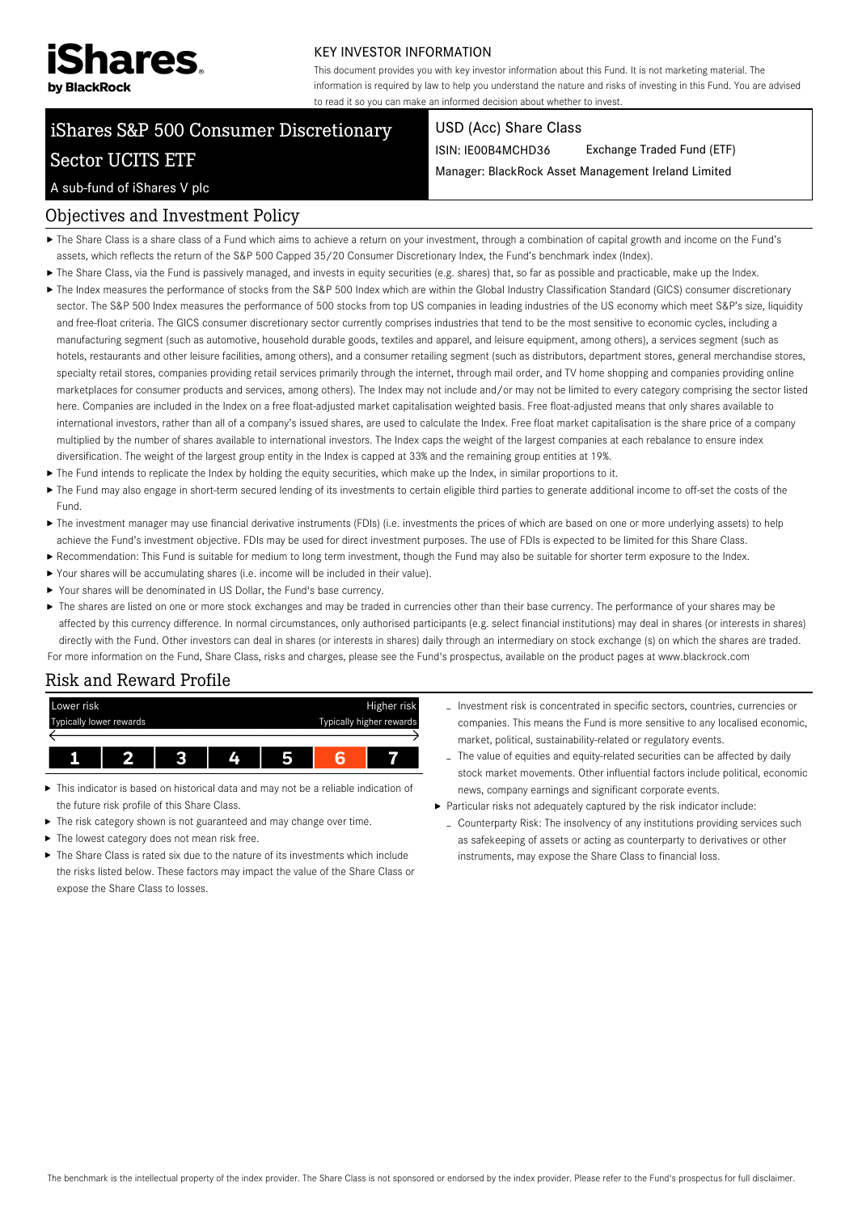

#### KEY INVESTOR INFORMATION

This document provides you with key investor information about this Fund. It is not marketing material. The information is required by law to help you understand the nature and risks of investing in this Fund. You are advised to read it so you can make an informed decision about whether to invest.

# iShares S&P 500 Consumer Discretionary Sector UCITS ETF

#### USD (Acc) Share Class

ISIN: IE00B4MCHD36 Exchange Traded Fund (ETF)

Manager: BlackRock Asset Management Ireland Limited

#### A sub-fund of iShares V plc

### Objectives and Investment Policy

- The Share Class is a share class of a Fund which aims to achieve a return on your investment, through a combination of capital growth and income on the Fund's assets, which reflects the return of the S&P 500 Capped 35/20 Consumer Discretionary Index, the Fund's benchmark index (Index).
- ▶ The Share Class, via the Fund is passively managed, and invests in equity securities (e.g. shares) that, so far as possible and practicable, make up the Index.
- ▶ The Index measures the performance of stocks from the S&P 500 Index which are within the Global Industry Classification Standard (GICS) consumer discretionary sector. The S&P 500 Index measures the performance of 500 stocks from top US companies in leading industries of the US economy which meet S&P's size, liquidity and free-float criteria. The GICS consumer discretionary sector currently comprises industries that tend to be the most sensitive to economic cycles, including a manufacturing segment (such as automotive, household durable goods, textiles and apparel, and leisure equipment, among others), a services segment (such as hotels, restaurants and other leisure facilities, among others), and a consumer retailing segment (such as distributors, department stores, general merchandise stores, specialty retail stores, companies providing retail services primarily through the internet, through mail order, and TV home shopping and companies providing online marketplaces for consumer products and services, among others). The Index may not include and/or may not be limited to every category comprising the sector listed here. Companies are included in the Index on a free float-adjusted market capitalisation weighted basis. Free float-adjusted means that only shares available to international investors, rather than all of a company's issued shares, are used to calculate the Index. Free float market capitalisation is the share price of a company multiplied by the number of shares available to international investors. The Index caps the weight of the largest companies at each rebalance to ensure index diversification. The weight of the largest group entity in the Index is capped at 33% and the remaining group entities at 19%.
- ▶ The Fund intends to replicate the Index by holding the equity securities, which make up the Index, in similar proportions to it.
- The Fund may also engage in short-term secured lending of its investments to certain eligible third parties to generate additional income to off-set the costs of the Fund.
- ▶ The investment manager may use financial derivative instruments (FDIs) (i.e. investments the prices of which are based on one or more underlying assets) to help achieve the Fund's investment objective. FDIs may be used for direct investment purposes. The use of FDIs is expected to be limited for this Share Class.
- Recommendation: This Fund is suitable for medium to long term investment, though the Fund may also be suitable for shorter term exposure to the Index.
- Your shares will be accumulating shares (i.e. income will be included in their value).
- Your shares will be denominated in US Dollar, the Fund's base currency.
- ▶ The shares are listed on one or more stock exchanges and may be traded in currencies other than their base currency. The performance of your shares may be affected by this currency difference. In normal circumstances, only authorised participants (e.g. select financial institutions) may deal in shares (or interests in shares) directly with the Fund. Other investors can deal in shares (or interests in shares) daily through an intermediary on stock exchange (s) on which the shares are traded. For more information on the Fund, Share Class, risks and charges, please see the Fund's prospectus, available on the product pages at www.blackrock.com

#### Risk and Reward Profile

| Lower risk              |    |    |  | Higher risk              |
|-------------------------|----|----|--|--------------------------|
| Typically lower rewards |    |    |  | Typically higher rewards |
|                         |    |    |  |                          |
|                         | ,, | Ζ. |  |                          |

- This indicator is based on historical data and may not be a reliable indication of the future risk profile of this Share Class.
- $\blacktriangleright$  The risk category shown is not guaranteed and may change over time.
- $\blacktriangleright$  The lowest category does not mean risk free.
- The Share Class is rated six due to the nature of its investments which include the risks listed below. These factors may impact the value of the Share Class or expose the Share Class to losses.
- Investment risk is concentrated in specific sectors, countries, currencies or companies. This means the Fund is more sensitive to any localised economic, market, political, sustainability-related or regulatory events.
- The value of equities and equity-related securities can be affected by daily stock market movements. Other influential factors include political, economic news, company earnings and significant corporate events.
- Particular risks not adequately captured by the risk indicator include:
	- Counterparty Risk: The insolvency of any institutions providing services such as safekeeping of assets or acting as counterparty to derivatives or other instruments, may expose the Share Class to financial loss.